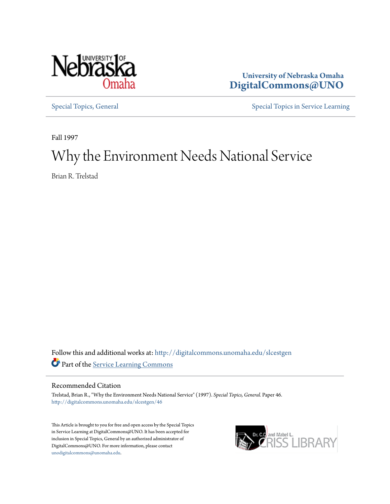

**University of Nebraska Omaha [DigitalCommons@UNO](http://digitalcommons.unomaha.edu?utm_source=digitalcommons.unomaha.edu%2Fslcestgen%2F46&utm_medium=PDF&utm_campaign=PDFCoverPages)**

[Special Topics, General](http://digitalcommons.unomaha.edu/slcestgen?utm_source=digitalcommons.unomaha.edu%2Fslcestgen%2F46&utm_medium=PDF&utm_campaign=PDFCoverPages) [Special Topics in Service Learning](http://digitalcommons.unomaha.edu/slcespecialtopics?utm_source=digitalcommons.unomaha.edu%2Fslcestgen%2F46&utm_medium=PDF&utm_campaign=PDFCoverPages)

Fall 1997

# Why the Environment Needs National Service

Brian R. Trelstad

Follow this and additional works at: [http://digitalcommons.unomaha.edu/slcestgen](http://digitalcommons.unomaha.edu/slcestgen?utm_source=digitalcommons.unomaha.edu%2Fslcestgen%2F46&utm_medium=PDF&utm_campaign=PDFCoverPages) Part of the [Service Learning Commons](http://network.bepress.com/hgg/discipline/1024?utm_source=digitalcommons.unomaha.edu%2Fslcestgen%2F46&utm_medium=PDF&utm_campaign=PDFCoverPages)

#### Recommended Citation

Trelstad, Brian R., "Why the Environment Needs National Service" (1997). *Special Topics, General.* Paper 46. [http://digitalcommons.unomaha.edu/slcestgen/46](http://digitalcommons.unomaha.edu/slcestgen/46?utm_source=digitalcommons.unomaha.edu%2Fslcestgen%2F46&utm_medium=PDF&utm_campaign=PDFCoverPages)

This Article is brought to you for free and open access by the Special Topics in Service Learning at DigitalCommons@UNO. It has been accepted for inclusion in Special Topics, General by an authorized administrator of DigitalCommons@UNO. For more information, please contact [unodigitalcommons@unomaha.edu](mailto:unodigitalcommons@unomaha.edu).

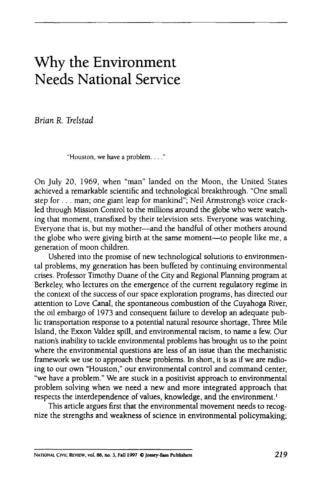## Why the Environment Needs National Service

**Brian R. Trelstad** 

"Houston, **we have a** problem. . . ."

On July 20, 1969, when "man" landed on the Moon, the United States achieved a remarkable scientific and technological breakthrough. "One small step for , . . man; one giant leap for mankind"; Neil Armstrong's voice crackled through Mission Control to the millions around the globe who were watching that moment, transfixed by their television sets. Everyone was watching. Everyone that is, but my mother-and the handful of other mothers around the globe who were giving birth at the same moment-to people like me, a generation of moon children.

Ushered into the promise of new technological solutions to environmental problems, my generation has been buffeted by continuing environmental crises. Professor Timothy Duane of the City and Regional Planning program at Berkeley, who lectures on the emergence of the current regulatory regime in the context of the success of our space exploration programs, has directed our attention to Love Canal, the spontaneous combustion of the Cuyahoga Rwer, the oil embargo of 1973 and consequent failure to develop an adequate public transportation response to a potential natural resource shortage, Three Mile Island, the Exxon Valdez spill, and environmental racism, to name a few. Our nation's inability to tackle environmental problems has brought us to the point where the environmental questions are less of an issue than the mechanistic framework we use to approach these problems. In short, it is **as** if we are radioing to our own "Houston," our environmental control and command center, "we have a problem." We are stuck in a positivist approach to environmental problem solving when we need a new and more integrated approach that respects the interdependence of values, knowledge, and the environment.

This article argues first that the environmental movement needs to recognize the strengths and weakness of science in environmental policymaking;

<code>MATIONAL CIVIC REVIEW, vol. 86, no. 3, Fall 1997  $\circ$  Jossey-Bass Publishers 219  $\,$ </code>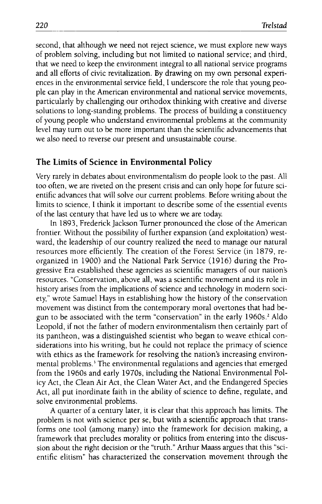second, that although we need not reject science, we must explore new ways of problem solving, including but not limited to national service; and third, that we need to keep the environment integral to all national service programs and all efforts of civic revitalization. By drawing on my own personal experiences in the environmental service field, I underscore the role that young people can play in the American environmental and national service movements, particularly by challenging our orthodox thinking with creative and diverse solutions to long-standing problems. The process of building a constituency of young people who understand environmental problems at the community level may turn out to be more important than the scientific advancements that we also need to reverse our present and unsustainable course.

#### **The Limits of Science in Environmental Policy**

Very rarely in debates about environmentalism do people look to the past. All too often, we are riveted on the present crisis and can only hope for future scientific advances that will solve our current problems. Before writing about the limits to science, I think it important to describe some of the essential events of the last century that have led us to where we are today

In 1893, Frederick Jackson Turner pronounced the close of the American frontier. Without the possibility of further expansion (and exploitation) westward, the leadership of our country realized the need to manage our natural resources more efficiently. The creation of the Forest Service (in 1879, reorganized in 1900) and the National Park Service (1916) during the Progressive Era established these agencies as scientific managers of our nation's resources. "Conservation, above all, was a scientific movement and its role in history arises from the implications of science and technology in modern society," wrote Samuel Hays in establishing how the history of the conservation movement was distinct from the contemporary moral overtones that had begun to be associated with the term "conservation" in the early 1960s.<sup>2</sup> Aldo Leopold, if not the father of modern environmentalism then certainly part of its pantheon, was a distinguished scientist who began to weave ethical considerations into his writing, but he could not replace the primacy of science with ethics as the framework for resolving the nation's increasing environmental problems. The environmental regulations and agencies that emerged from the 1960s and early 1970s, including the National Environmental Policy Act, the Clean Air Act, the Clean Water Act, and the Endangered Species Act, all put inordinate faith in the ability of science to define, regulate, and solve environmental problems.

**A** quarter of a century later, it is clear that this approach has limits. The problem is not with science per se, but with a scientific approach that transforms one tool (among many) into the framework for decision making, a framework that precludes morality or politics from entering into the discussion about the right decision or the "truth." Arthur Maass argues that this "scientific elitism" has characterized the conservation movement through the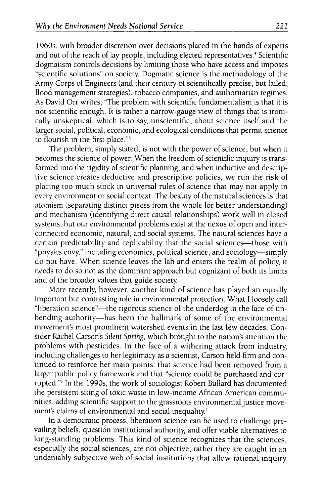1960s, with broader discretion over decisions placed in the hands of experts and out of the reach of lay people, including elected representatives.' Scientific dogmatism controls decisions by limiting those who have access and imposes "scientific solutions" on society. Dogmatic science is the methodology of the Army Corps of Engineers (and their century of scientifically precise, but failed, flood management strategies), tobacco companies, and authoritarian regimes. As David Orr writes, "The problem with scientific fundamentalism is that it is not scientific enough. It is rather a narrow-gauge view of things that is ironically unskeptical, which is to say, unscientific, about science itself and the larger social, political, economic, and ecological conditions that permit science to flourish in the first place."i

The problem, simply stated, is not with the power of science, but when it becomes the science of power. When the freedom of scientific inquiry is transformed into the rigidity of scientific planning, and when inductive and descriptive science creates deductive and prescriptive policies, we run the risk of placing too much stock in universal rules of science that may not apply in every environment or social context. The beauty of the natural sciences is that atomism (separating distinct pieces from the whole for better understanding) and mechanism (identifying direct causal relationships) work well in closed systems, but our environmental problems exist at the nexus of open and interconnected economic, natural, and social systems. The natural sciences have a certain predictability and replicability that the social sciences-those with "physics envy," including economics, political science, and sociology-simply do not have. When science leaves the lab and enters the realm of policy, it needs to do so not as the dominant approach but cognizant of both its limits and of the broader values that guide society.

More recently, however, another kind of science has played an equally important but contrasting role in environmental protection. What I loosely call "liberation science"—the rigorous science of the underdog in the face of unbending authority-has been the hallmark of some of the environmental movement's most prominent watershed events in the last few decades. Consider Rachel Carson's **Silent** Spring, which brought to the nation's attention the problems with pesticides. In the face of a withering attack from industry, including challenges to her legitimacy as a scientist, Carson held firm and continued to reinforce her main points: that science had been removed from a larger public policy framework and that "science could be purchased and corrupted."<sup>o</sup> In the 1990s, the work of sociologist Robert Bullard has documented the persistent siting of toxic waste in low-income African American communities, adding scientific support to the grassroots environmental justice movement's claims of environmental and social inequality.'

In a democratic process, liberation science can be used to challenge prevailing beliefs, question institutional authority, and offer viable alternatives to long-standing problems. This kind of science recognizes that the sciences, especially the social sciences, are not objective; rather they are caught in an undeniably subjective web of social institutions that allow rational inquiry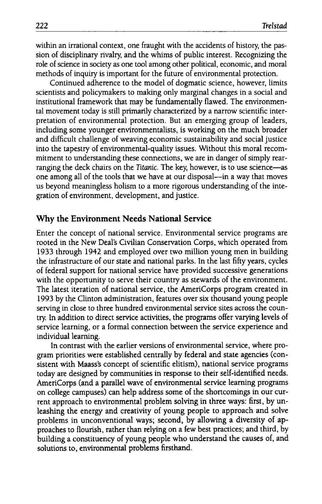within an irrational context, one fraught with the accidents of history, the passion of disciplinary rivalry, and the whims of public interest. Recognizing the role of science in society **as** one tool among other political, economic, and moral methods of inquiry is important for the future of environmental protection.

Continued adherence to the model of dogmatic science, however, limits scientists and policymakers to making only marginal changes in a social and institutional framework that may be fundamentally flawed. The environmental movement today is still primarily characterized by a narrow scientific interpretation of environmental protection. But an emerging group of leaders, including some younger environmentalists, is working on the much broader and difficult challenge of weaving economic sustainability and social justice into the tapestry of environmental-quality issues. Without this moral recommitment to understanding these connections, we are in danger of simply rearranging the deck chairs on the *Titanic.* The key, however, is to use science-as one among all of the tools that we have at our disposal-in a way that moves us beyond meaningless holism to a more rigorous understanding of the integration of environment, development, and justice.

### **Why the Environment Needs National Service**

Enter the concept of national service. Environmental service programs are rooted in the New Deal's Civilian Conservation Corps, which operated from 1933 through 1942 and employed over two million young men in building the infrastmcture of our state and national parks. In the last fifty years, cycles of federal support for national service have provided successive generations with the opportunity to serve their country as stewards of the environment. The latest iteration of national service, the AmeriCorps program created in 1993 by the Clinton administration, features over six thousand young people serving in close to three hundred environmental service sites across the country. In addition to direct service activities, the programs offer varying levels of service learning, or a formal connection between the service experience and individual learning.

In contrast with the earlier versions of environmental service, where program priorities were established centrally by federal and state agencies (consistent with Maass's concept of scientific elitism), national service programs today are designed by communities in response to their self-identified needs. AmeriCorps (and a parallel wave of environmental service learning programs on college campuses) can help address some of the shortcomings in our current approach to environmental problem solving in three ways: first, by unleashing the energy and creativity of young people to approach and solve problems in unconventional ways; second, by allowing a diversity of approaches to flourish, rather than relying on a few best practices; and third, by building a constituency of young people who understand the causes of, and solutions to, environmental problems firsthand.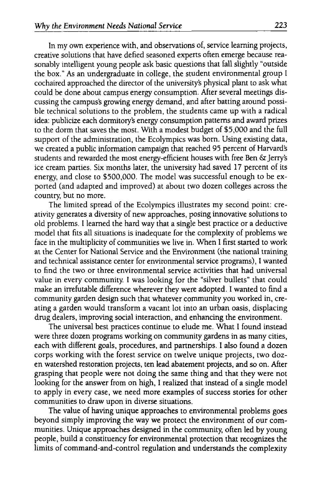In my own experience with, and observations of, service learning projects, creative solutions that have defied seasoned experts often emerge because reasonably intelligent young people ask basic questions that fall slightly "outside the box." **As** an undergraduate in college, the student environmental group I cochaired approached the director of the university's physical plant to ask what could be done about campus energy consumption. After several meetings discussing the campus's growing energy demand, and after batting around possible technical solutions to the problem, the students came up with a radical idea: publicize each dormitory3 energy consumption patterns and award prizes to the dorm that saves the most. With a modest budget of \$5,000 and the full support of the administration, the Ecolympics was born. Using existing data, we created a public information campaign that reached 95 percent of Harvards students and rewarded the most energy-efficient houses with free Ben & Jerry's ice cream parties. Six months later, the university had saved **17** percent of its energy, and close to \$500,000. The model was successful enough to be exported (and adapted and improved) at about two dozen colleges across the country, but no more.

The limited spread of the Ecolympics illustrates my second point: creativity generates a diversity of new approaches, posing innovative solutions to old problems. I learned the hard way that a single best practice or a deductive model that fits all situations is inadequate for the complexity of problems we face in the multiplicity of communities we live in. When I first started to work at the Center for National Service and the Environment (the national training and technical assistance center for environmental service programs), I wanted to find the two or three environmental service activities that had universal value in every community. 1 was looking for the "silver bullets" that could make an irrefutable difference wherever they were adopted. I wanted to find a community garden design such that whatever community you worked in, creating a garden would transform a vacant lot into an urban oasis, displacing drug dealers, improving social interaction, and enhancing the environment.

The universal best practices continue to elude me. What I found instead were three dozen programs working on community gardens in as many cities, each with different goals, procedures, and partnerships. I also found a dozen corps working with the forest service on twelve unique projects, two dozen watershed restoration projects, ten lead abatement projects, and so on. After grasping that people were not doing the same thing and that they were not looking for the answer from on high, I realized that instead of a single model to apply in every case, we need more examples of success stones for other communities to draw upon in diverse situations.

The value of having unique approaches to environmental problems goes beyond simply improving the way we protect the environment of our communities. Unique approaches designed in the community, often led by young people, build a constituency for environmental protection that recognizes the limits of command-and-control regulation and understands the complexity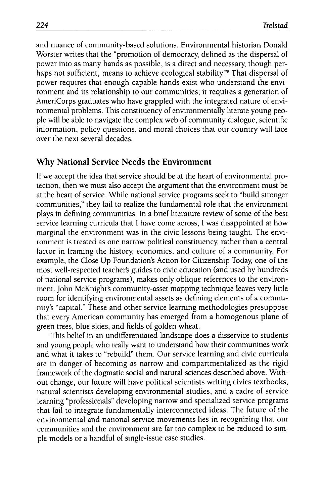and nuance of community-based solutions. Environmental historian Donald Worster writes that the "promotion of democracy, defined as the dispersal of power into as many hands as possible, is a direct and necessary, though perhaps not sufficient, means to achieve ecological stability."<sup>8</sup> That dispersal of power requires that enough capable hands exist who understand the environment and its relationship to our communities; it requires a generation of AmeriCorps graduates who have grappled with the integrated nature of environmental problems. This constituency of environmentally literate young people will be able to navigate the complex web of community dialogue, scientific information, policy questions, and moral choices that our country will face over the next several decades.

### **Why National Service Needs the Environment**

If we accept the idea that service should be at the heart of environmental protection, then we must also accept the argument that the environment must be at the heart of service. While national service programs seek to "build stronger communities," they fail to realize the fundamental role that the environment plays in defining Communities. In a brief literature review of some of the best service learning curricula that I have come across, I was disappointed at how marginal the environment was in the civic lessons being taught. The environment is treated as one narrow political constituency, rather than a central factor in framing the history, economics, and culture of a community. For example, the Close Up Foundation's Action for Citizenship Today, one of the most well-respected teacher's guides to civic education (and used by hundreds of national service programs), makes only oblique references to the environment. John McKnight's community-asset mapping technique leaves very little room for identifying environmental assets as defining elements of a community's "capital." These and other service learning methodologies presuppose that every American community has emerged from a homogenous plane of green trees, blue skies, and fields of golden wheat.

This belief in an undifferentiated landscape does a disservice to students and young people who really want to understand how their communities work and what it takes to "rebuild" them. Our service learning and civic curricula are in danger of becoming as narrow and compartmentalized as the rigid framework of the dogmatic social and natural sciences described above. Without change, our future will have political scientists writing civics textbooks, natural scientists developing environmental studies, and a cadre of service learning "professionals" developing narrow and specialized service programs that fail to integrate fundamentally interconnected ideas. The future of the environmental and national service movements lies in recognizing that our communities and the environment are far too complex to be reduced to simple models or a handful of single-issue case studies.